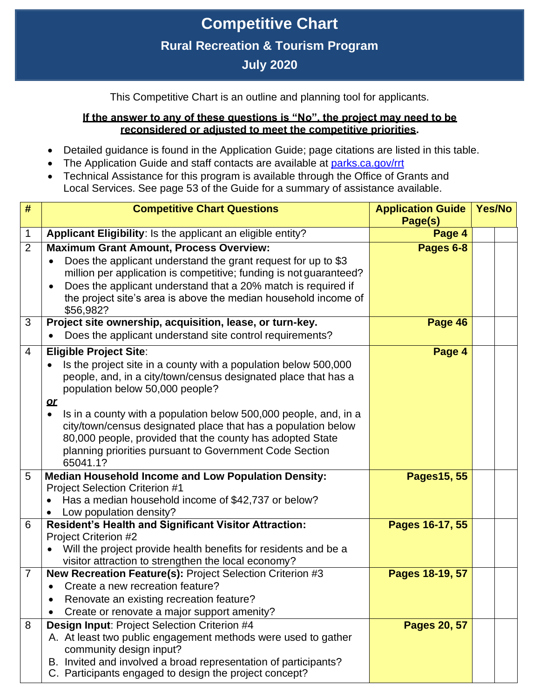## **Competitive Chart Rural Recreation & Tourism Program July 2020**

This Competitive Chart is an outline and planning tool for applicants.

## **If the answer to any of these questions is "No", the project may need to be reconsidered or adjusted to meet the competitive priorities.**

- Detailed guidance is found in the Application Guide; page citations are listed in this table.
- The Application Guide and staff contacts are available at [parks.ca.gov/rrt](https://www.parks.ca.gov/rrt)
- Technical Assistance for this program is available through the Office of Grants and Local Services. See page 53 of the Guide for a summary of assistance available.

| #              | <b>Competitive Chart Questions</b>                                                                                         | <b>Application Guide</b><br>Page(s) | Yes/No |
|----------------|----------------------------------------------------------------------------------------------------------------------------|-------------------------------------|--------|
| $\mathbf 1$    | Applicant Eligibility: Is the applicant an eligible entity?                                                                | Page 4                              |        |
| 2              | <b>Maximum Grant Amount, Process Overview:</b>                                                                             | Pages 6-8                           |        |
|                | Does the applicant understand the grant request for up to \$3                                                              |                                     |        |
|                | million per application is competitive; funding is not guaranteed?                                                         |                                     |        |
|                | Does the applicant understand that a 20% match is required if                                                              |                                     |        |
|                | the project site's area is above the median household income of<br>\$56,982?                                               |                                     |        |
| 3              | Project site ownership, acquisition, lease, or turn-key.                                                                   | Page 46                             |        |
|                | Does the applicant understand site control requirements?                                                                   |                                     |        |
| $\overline{4}$ | <b>Eligible Project Site:</b>                                                                                              | Page 4                              |        |
|                | Is the project site in a county with a population below 500,000                                                            |                                     |        |
|                | people, and, in a city/town/census designated place that has a                                                             |                                     |        |
|                | population below 50,000 people?                                                                                            |                                     |        |
|                | $\alpha$                                                                                                                   |                                     |        |
|                | Is in a county with a population below 500,000 people, and, in a<br>$\bullet$                                              |                                     |        |
|                | city/town/census designated place that has a population below<br>80,000 people, provided that the county has adopted State |                                     |        |
|                | planning priorities pursuant to Government Code Section                                                                    |                                     |        |
|                | 65041.1?                                                                                                                   |                                     |        |
| 5              | <b>Median Household Income and Low Population Density:</b>                                                                 | Pages15, 55                         |        |
|                | <b>Project Selection Criterion #1</b>                                                                                      |                                     |        |
|                | Has a median household income of \$42,737 or below?                                                                        |                                     |        |
|                | Low population density?                                                                                                    |                                     |        |
| 6              | <b>Resident's Health and Significant Visitor Attraction:</b><br><b>Project Criterion #2</b>                                | Pages 16-17, 55                     |        |
|                | Will the project provide health benefits for residents and be a                                                            |                                     |        |
|                | visitor attraction to strengthen the local economy?                                                                        |                                     |        |
| $\overline{7}$ | New Recreation Feature(s): Project Selection Criterion #3                                                                  | Pages 18-19, 57                     |        |
|                | Create a new recreation feature?                                                                                           |                                     |        |
|                | Renovate an existing recreation feature?                                                                                   |                                     |        |
|                | Create or renovate a major support amenity?                                                                                |                                     |        |
| 8              | Design Input: Project Selection Criterion #4                                                                               | Pages 20, 57                        |        |
|                | A. At least two public engagement methods were used to gather<br>community design input?                                   |                                     |        |
|                | B. Invited and involved a broad representation of participants?                                                            |                                     |        |
|                | C. Participants engaged to design the project concept?                                                                     |                                     |        |